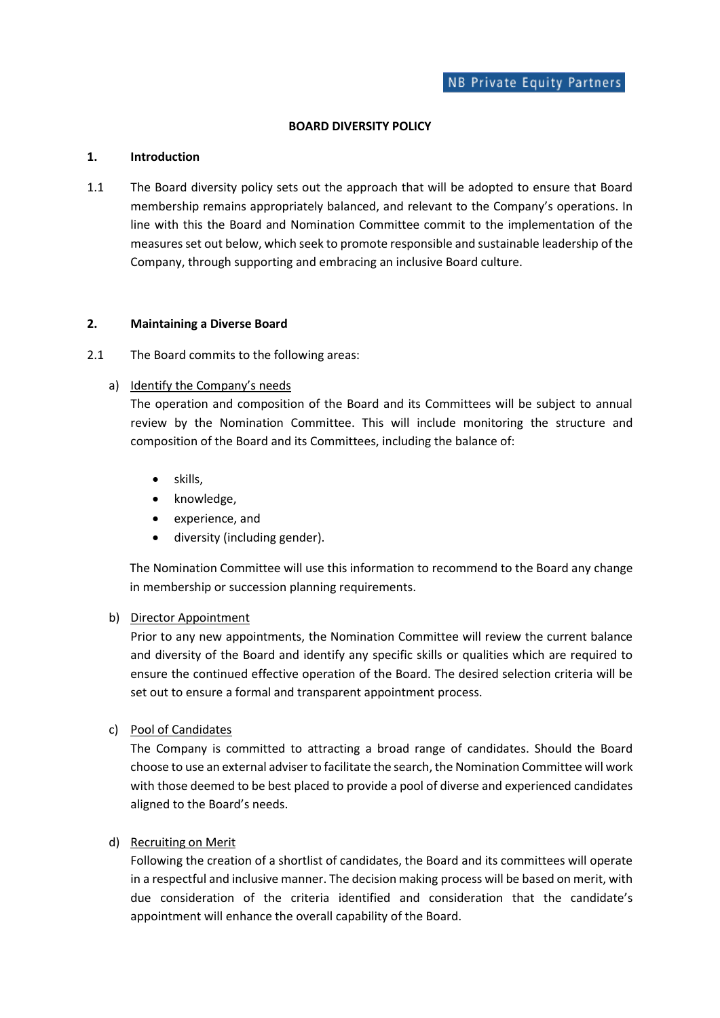### **BOARD DIVERSITY POLICY**

#### **1. Introduction**

1.1 The Board diversity policy sets out the approach that will be adopted to ensure that Board membership remains appropriately balanced, and relevant to the Company's operations. In line with this the Board and Nomination Committee commit to the implementation of the measures set out below, which seek to promote responsible and sustainable leadership of the Company, through supporting and embracing an inclusive Board culture.

#### **2. Maintaining a Diverse Board**

2.1 The Board commits to the following areas:

## a) Identify the Company's needs

The operation and composition of the Board and its Committees will be subject to annual review by the Nomination Committee. This will include monitoring the structure and composition of the Board and its Committees, including the balance of:

- skills,
- knowledge,
- experience, and
- diversity (including gender).

The Nomination Committee will use this information to recommend to the Board any change in membership or succession planning requirements.

#### b) Director Appointment

Prior to any new appointments, the Nomination Committee will review the current balance and diversity of the Board and identify any specific skills or qualities which are required to ensure the continued effective operation of the Board. The desired selection criteria will be set out to ensure a formal and transparent appointment process.

c) Pool of Candidates

The Company is committed to attracting a broad range of candidates. Should the Board choose to use an external adviser to facilitate the search, the Nomination Committee will work with those deemed to be best placed to provide a pool of diverse and experienced candidates aligned to the Board's needs.

# d) Recruiting on Merit

Following the creation of a shortlist of candidates, the Board and its committees will operate in a respectful and inclusive manner. The decision making process will be based on merit, with due consideration of the criteria identified and consideration that the candidate's appointment will enhance the overall capability of the Board.